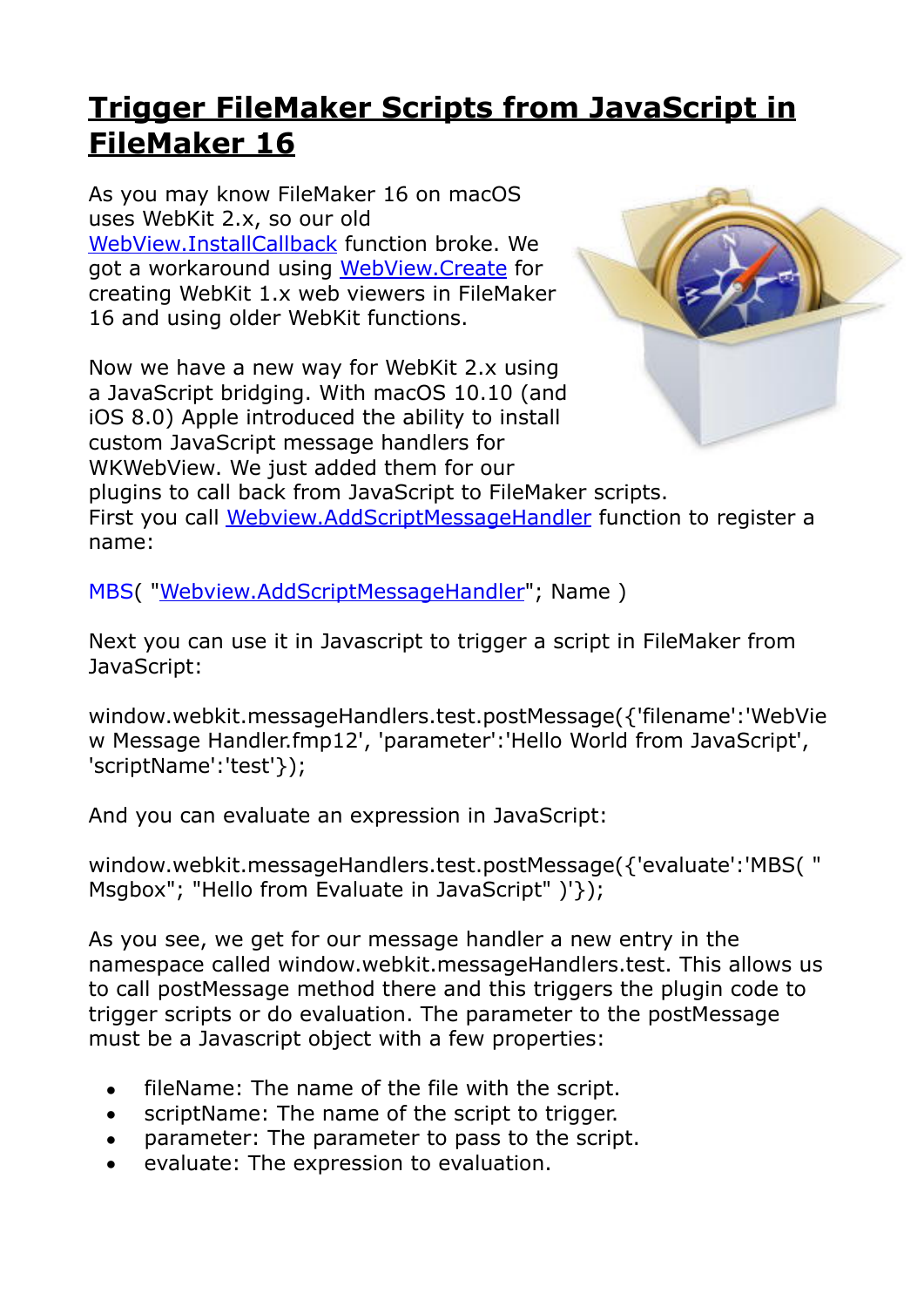## **[Trigger FileMaker Scripts from JavaScript in](https://www.mbs-plugins.com/archive/2017-12-15/Trigger_FileMaker_Scripts_from/monkeybreadsoftware_blog_filemaker)  [FileMaker 16](https://www.mbs-plugins.com/archive/2017-12-15/Trigger_FileMaker_Scripts_from/monkeybreadsoftware_blog_filemaker)**

As you may know FileMaker 16 on macOS uses WebKit 2.x, so our old [WebView.InstallCallback](https://www.mbsplugins.eu/WebViewInstallCallback.shtml) function broke. We got a workaround using [WebView.Create](https://www.mbsplugins.eu/WebViewCreate.shtml) for creating WebKit 1.x web viewers in FileMaker 16 and using older WebKit functions.

Now we have a new way for WebKit 2.x using a JavaScript bridging. With macOS 10.10 (and iOS 8.0) Apple introduced the ability to install custom JavaScript message handlers for WKWebView. We just added them for our



plugins to call back from JavaScript to FileMaker scripts. First you call [Webview.AddScriptMessageHandler](https://www.mbsplugins.eu/WebviewAddScriptMessageHandler.shtml) function to register a name:

MBS( "[Webview.AddScriptMessageHandler](https://www.mbsplugins.eu/WebviewAddScriptMessageHandler.shtml)"; Name )

Next you can use it in Javascript to trigger a script in FileMaker from JavaScript:

window.webkit.messageHandlers.test.postMessage({'filename':'WebVie w Message Handler.fmp12', 'parameter':'Hello World from JavaScript', 'scriptName':'test'});

And you can evaluate an expression in JavaScript:

window.webkit.messageHandlers.test.postMessage({'evaluate':'MBS( " Msgbox"; "Hello from Evaluate in JavaScript" )'});

As you see, we get for our message handler a new entry in the namespace called window.webkit.messageHandlers.test. This allows us to call postMessage method there and this triggers the plugin code to trigger scripts or do evaluation. The parameter to the postMessage must be a Javascript object with a few properties:

- fileName: The name of the file with the script.
- scriptName: The name of the script to trigger.
- parameter: The parameter to pass to the script.
- evaluate: The expression to evaluation.